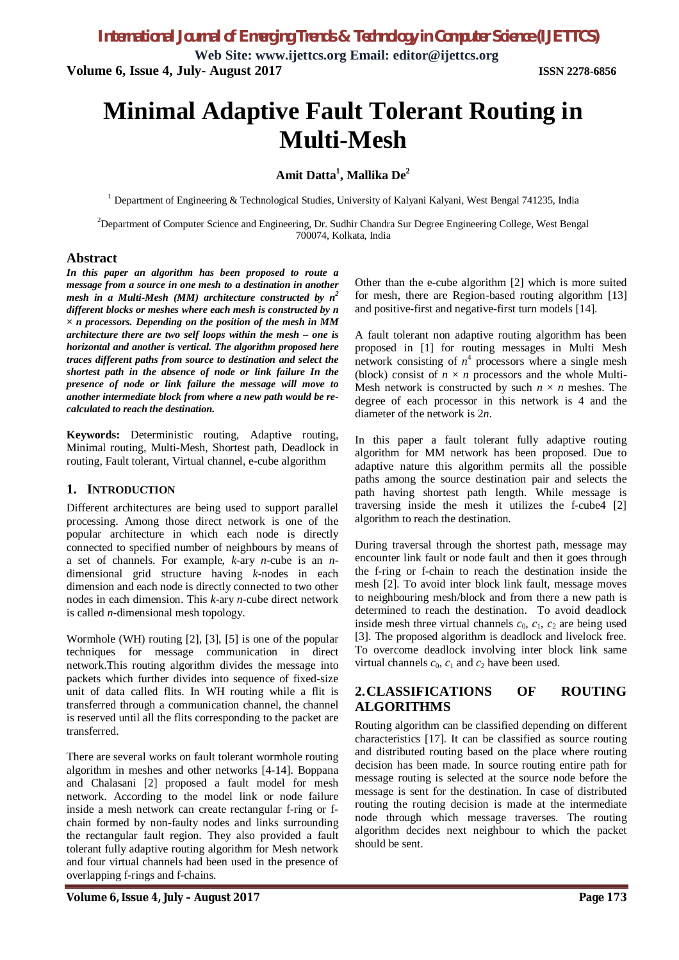**Web Site: www.ijettcs.org Email: editor@ijettcs.org Volume 6, Issue 4, July- August 2017 ISSN 2278-6856**

# **Minimal Adaptive Fault Tolerant Routing in Multi-Mesh**

# **Amit Datta<sup>1</sup> , Mallika De<sup>2</sup>**

<sup>1</sup> Department of Engineering & Technological Studies, University of Kalyani Kalyani, West Bengal 741235, India

<sup>2</sup>Department of Computer Science and Engineering, Dr. Sudhir Chandra Sur Degree Engineering College, West Bengal 700074, Kolkata, India

#### **Abstract**

*In this paper an algorithm has been proposed to route a message from a source in one mesh to a destination in another mesh in a Multi-Mesh (MM) architecture constructed by n<sup>2</sup> different blocks or meshes where each mesh is constructed by n × n processors. Depending on the position of the mesh in MM architecture there are two self loops within the mesh – one is horizontal and another is vertical. The algorithm proposed here traces different paths from source to destination and select the shortest path in the absence of node or link failure In the presence of node or link failure the message will move to another intermediate block from where a new path would be recalculated to reach the destination.*

**Keywords:** Deterministic routing, Adaptive routing, Minimal routing, Multi-Mesh, Shortest path, Deadlock in routing, Fault tolerant, Virtual channel, e-cube algorithm

#### **1. INTRODUCTION**

Different architectures are being used to support parallel processing. Among those direct network is one of the popular architecture in which each node is directly connected to specified number of neighbours by means of a set of channels. For example, *k*-ary *n*-cube is an *n*dimensional grid structure having *k*-nodes in each dimension and each node is directly connected to two other nodes in each dimension. This *k*-ary *n*-cube direct network is called *n*-dimensional mesh topology.

Wormhole (WH) routing [2], [3], [5] is one of the popular techniques for message communication in direct network.This routing algorithm divides the message into packets which further divides into sequence of fixed-size unit of data called flits. In WH routing while a flit is transferred through a communication channel, the channel is reserved until all the flits corresponding to the packet are transferred.

There are several works on fault tolerant wormhole routing algorithm in meshes and other networks [4-14]. Boppana and Chalasani [2] proposed a fault model for mesh network. According to the model link or node failure inside a mesh network can create rectangular f-ring or fchain formed by non-faulty nodes and links surrounding the rectangular fault region. They also provided a fault tolerant fully adaptive routing algorithm for Mesh network and four virtual channels had been used in the presence of overlapping f-rings and f-chains.

Other than the e-cube algorithm [2] which is more suited for mesh, there are Region-based routing algorithm [13] and positive-first and negative-first turn models [14].

A fault tolerant non adaptive routing algorithm has been proposed in [1] for routing messages in Multi Mesh network consisting of  $n<sup>4</sup>$  processors where a single mesh (block) consist of  $n \times n$  processors and the whole Multi-Mesh network is constructed by such  $n \times n$  meshes. The degree of each processor in this network is 4 and the diameter of the network is 2*n*.

In this paper a fault tolerant fully adaptive routing algorithm for MM network has been proposed. Due to adaptive nature this algorithm permits all the possible paths among the source destination pair and selects the path having shortest path length. While message is traversing inside the mesh it utilizes the f-cube4 [2] algorithm to reach the destination.

During traversal through the shortest path, message may encounter link fault or node fault and then it goes through the f-ring or f-chain to reach the destination inside the mesh [2]. To avoid inter block link fault, message moves to neighbouring mesh/block and from there a new path is determined to reach the destination. To avoid deadlock inside mesh three virtual channels  $c_0$ ,  $c_1$ ,  $c_2$  are being used [3]. The proposed algorithm is deadlock and livelock free. To overcome deadlock involving inter block link same virtual channels  $c_0$ ,  $c_1$  and  $c_2$  have been used.

## **2.CLASSIFICATIONS OF ROUTING ALGORITHMS**

Routing algorithm can be classified depending on different characteristics [17]. It can be classified as source routing and distributed routing based on the place where routing decision has been made. In source routing entire path for message routing is selected at the source node before the message is sent for the destination. In case of distributed routing the routing decision is made at the intermediate node through which message traverses. The routing algorithm decides next neighbour to which the packet should be sent.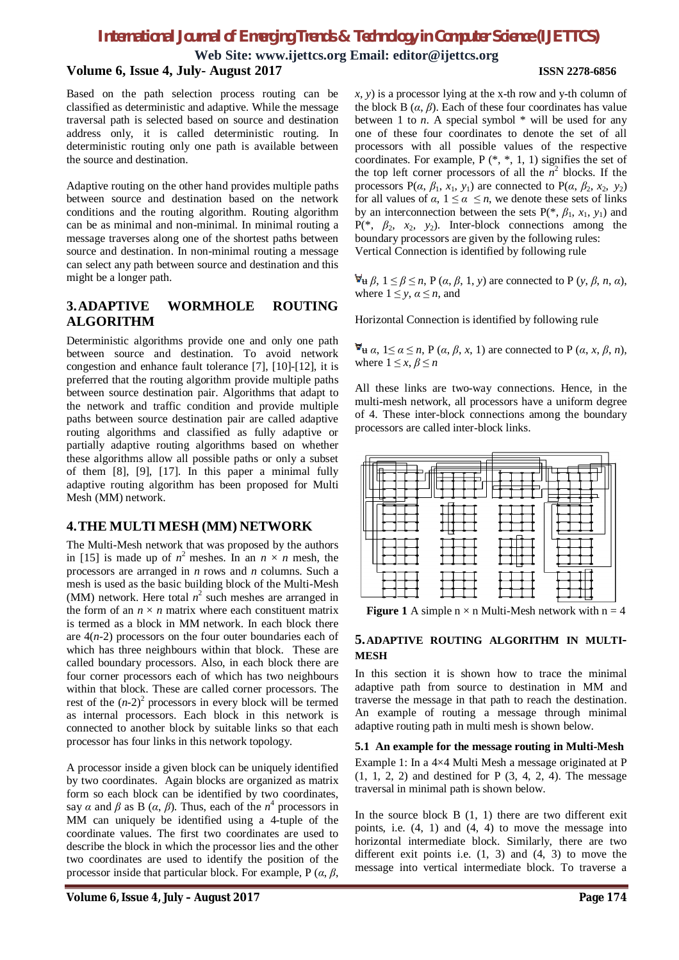**Web Site: www.ijettcs.org Email: editor@ijettcs.org**

### **Volume 6, Issue 4, July- August 2017 ISSN 2278-6856**

Based on the path selection process routing can be classified as deterministic and adaptive. While the message traversal path is selected based on source and destination address only, it is called deterministic routing. In deterministic routing only one path is available between the source and destination.

Adaptive routing on the other hand provides multiple paths between source and destination based on the network conditions and the routing algorithm. Routing algorithm can be as minimal and non-minimal. In minimal routing a message traverses along one of the shortest paths between source and destination. In non-minimal routing a message can select any path between source and destination and this might be a longer path.

# **3.ADAPTIVE WORMHOLE ROUTING ALGORITHM**

Deterministic algorithms provide one and only one path between source and destination. To avoid network congestion and enhance fault tolerance [7], [10]-[12], it is preferred that the routing algorithm provide multiple paths between source destination pair. Algorithms that adapt to the network and traffic condition and provide multiple paths between source destination pair are called adaptive routing algorithms and classified as fully adaptive or partially adaptive routing algorithms based on whether these algorithms allow all possible paths or only a subset of them [8], [9], [17]. In this paper a minimal fully adaptive routing algorithm has been proposed for Multi Mesh (MM) network.

## **4.THE MULTI MESH (MM) NETWORK**

The Multi-Mesh network that was proposed by the authors in [15] is made up of  $n^2$  meshes. In an  $n \times n$  mesh, the processors are arranged in *n* rows and *n* columns. Such a mesh is used as the basic building block of the Multi-Mesh (MM) network. Here total  $n^2$  such meshes are arranged in the form of an  $n \times n$  matrix where each constituent matrix is termed as a block in MM network. In each block there are 4(*n*-2) processors on the four outer boundaries each of which has three neighbours within that block. These are called boundary processors. Also, in each block there are four corner processors each of which has two neighbours within that block. These are called corner processors. The rest of the  $(n-2)^2$  processors in every block will be termed as internal processors. Each block in this network is connected to another block by suitable links so that each processor has four links in this network topology.

A processor inside a given block can be uniquely identified by two coordinates. Again blocks are organized as matrix form so each block can be identified by two coordinates, say  $\alpha$  and  $\beta$  as B ( $\alpha$ ,  $\beta$ ). Thus, each of the  $n^4$  processors in MM can uniquely be identified using a 4-tuple of the coordinate values. The first two coordinates are used to describe the block in which the processor lies and the other two coordinates are used to identify the position of the processor inside that particular block. For example, P (*α*, *β*,

the block B  $(\alpha, \beta)$ . Each of these four coordinates has value between 1 to  $n$ . A special symbol  $*$  will be used for any one of these four coordinates to denote the set of all processors with all possible values of the respective coordinates. For example,  $P$  (\*, \*, 1, 1) signifies the set of the top left corner processors of all the  $n^2$  blocks. If the processors  $P(\alpha, \beta_1, x_1, y_1)$  are connected to  $P(\alpha, \beta_2, x_2, y_2)$ for all values of  $\alpha$ ,  $1 \leq \alpha \leq n$ , we denote these sets of links by an interconnection between the sets  $P(*, \beta_1, x_1, y_1)$  and  $P(*, \beta_2, x_2, y_2)$ . Inter-block connections among the boundary processors are given by the following rules: Vertical Connection is identified by following rule  $\forall$ **u**  $\beta$ ,  $1 \leq \beta \leq n$ , P  $(\alpha, \beta, 1, y)$  are connected to P  $(y, \beta, n, \alpha)$ ,

*x*, *y*) is a processor lying at the x-th row and y-th column of

where  $1 \leq y, \alpha \leq n$ , and

Horizontal Connection is identified by following rule

 $\mathbf{\nabla}_{\mathbf{H}} \alpha$ ,  $1 \leq \alpha \leq n$ , P ( $\alpha$ ,  $\beta$ ,  $x$ , 1) are connected to P ( $\alpha$ ,  $x$ ,  $\beta$ ,  $n$ ), where  $1 \leq x, \beta \leq n$ 

All these links are two-way connections. Hence, in the multi-mesh network, all processors have a uniform degree of 4. These inter-block connections among the boundary processors are called inter-block links.



**Figure 1** A simple  $n \times n$  Multi-Mesh network with  $n = 4$ 

#### **5.ADAPTIVE ROUTING ALGORITHM IN MULTI-MESH**

In this section it is shown how to trace the minimal adaptive path from source to destination in MM and traverse the message in that path to reach the destination. An example of routing a message through minimal adaptive routing path in multi mesh is shown below.

#### **5.1 An example for the message routing in Multi-Mesh**

Example 1: In a 4×4 Multi Mesh a message originated at P (1, 1, 2, 2) and destined for P (3, 4, 2, 4). The message traversal in minimal path is shown below.

In the source block  $B(1, 1)$  there are two different exit points, i.e. (4, 1) and (4, 4) to move the message into horizontal intermediate block. Similarly, there are two different exit points i.e.  $(1, 3)$  and  $(4, 3)$  to move the message into vertical intermediate block. To traverse a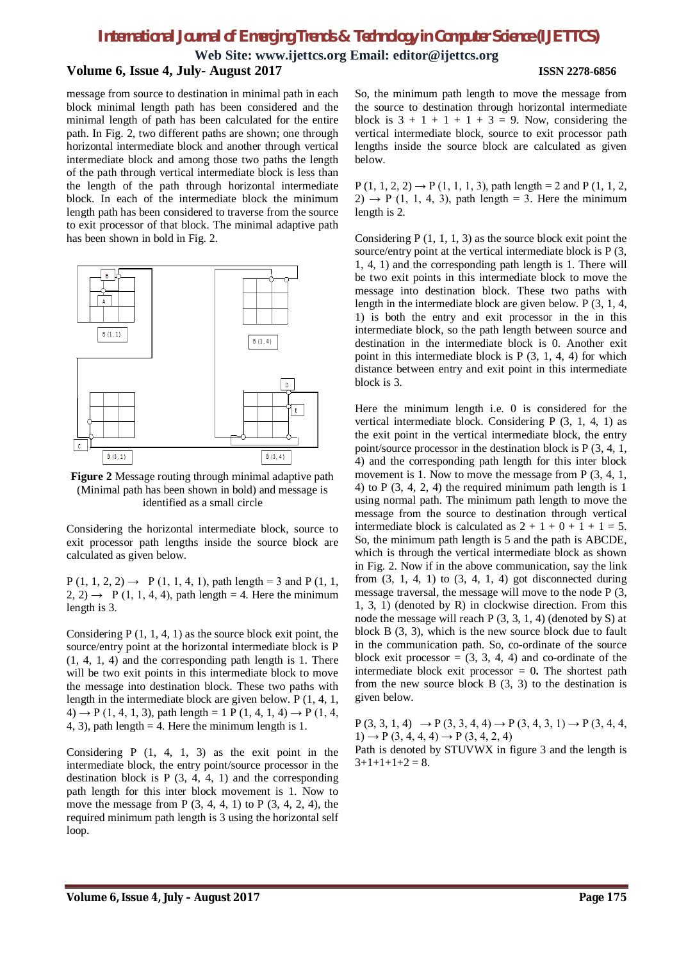**Web Site: www.ijettcs.org Email: editor@ijettcs.org**

### **Volume 6, Issue 4, July- August 2017 ISSN 2278-6856**

message from source to destination in minimal path in each block minimal length path has been considered and the minimal length of path has been calculated for the entire path. In Fig. 2, two different paths are shown; one through horizontal intermediate block and another through vertical intermediate block and among those two paths the length of the path through vertical intermediate block is less than the length of the path through horizontal intermediate block. In each of the intermediate block the minimum length path has been considered to traverse from the source to exit processor of that block. The minimal adaptive path has been shown in bold in Fig. 2.





Considering the horizontal intermediate block, source to exit processor path lengths inside the source block are calculated as given below.

 $P(1, 1, 2, 2) \rightarrow P(1, 1, 4, 1)$ , path length = 3 and P(1, 1,  $2, 2) \rightarrow$  P (1, 1, 4, 4), path length = 4. Here the minimum length is 3.

Considering  $P(1, 1, 4, 1)$  as the source block exit point, the source/entry point at the horizontal intermediate block is P (1, 4, 1, 4) and the corresponding path length is 1. There will be two exit points in this intermediate block to move the message into destination block. These two paths with length in the intermediate block are given below. P (1, 4, 1,  $(4) \rightarrow P(1, 4, 1, 3)$ , path length = 1 P (1, 4, 1, 4)  $\rightarrow P(1, 4, 1, 4)$ 4, 3), path length  $=$  4. Here the minimum length is 1.

Considering  $P(1, 4, 1, 3)$  as the exit point in the intermediate block, the entry point/source processor in the destination block is  $P(3, 4, 4, 1)$  and the corresponding path length for this inter block movement is 1. Now to move the message from  $P(3, 4, 4, 1)$  to  $P(3, 4, 2, 4)$ , the required minimum path length is 3 using the horizontal self loop.

So, the minimum path length to move the message from the source to destination through horizontal intermediate block is  $3 + 1 + 1 + 1 + 3 = 9$ . Now, considering the vertical intermediate block, source to exit processor path lengths inside the source block are calculated as given below.

 $P(1, 1, 2, 2) \rightarrow P(1, 1, 1, 3)$ , path length = 2 and P (1, 1, 2,  $2) \rightarrow P(1, 1, 4, 3)$ , path length = 3. Here the minimum length is 2.

Considering  $P(1, 1, 1, 3)$  as the source block exit point the source/entry point at the vertical intermediate block is P (3, 1, 4, 1) and the corresponding path length is 1. There will be two exit points in this intermediate block to move the message into destination block. These two paths with length in the intermediate block are given below. P (3, 1, 4, 1) is both the entry and exit processor in the in this intermediate block, so the path length between source and destination in the intermediate block is 0. Another exit point in this intermediate block is P (3, 1, 4, 4) for which distance between entry and exit point in this intermediate block is 3.

Here the minimum length i.e. 0 is considered for the vertical intermediate block. Considering P (3, 1, 4, 1) as the exit point in the vertical intermediate block, the entry point/source processor in the destination block is P (3, 4, 1, 4) and the corresponding path length for this inter block movement is 1. Now to move the message from P  $(3, 4, 1, 1)$ 4) to  $P(3, 4, 2, 4)$  the required minimum path length is 1 using normal path. The minimum path length to move the message from the source to destination through vertical intermediate block is calculated as  $2 + 1 + 0 + 1 + 1 = 5$ . So, the minimum path length is 5 and the path is ABCDE, which is through the vertical intermediate block as shown in Fig. 2. Now if in the above communication, say the link from  $(3, 1, 4, 1)$  to  $(3, 4, 1, 4)$  got disconnected during message traversal, the message will move to the node P (3, 1, 3, 1) (denoted by R) in clockwise direction. From this node the message will reach P (3, 3, 1, 4) (denoted by S) at block B (3, 3), which is the new source block due to fault in the communication path. So, co-ordinate of the source block exit processor  $= (3, 3, 4, 4)$  and co-ordinate of the intermediate block exit processor  $= 0$ . The shortest path from the new source block  $B(3, 3)$  to the destination is given below.

 $P(3, 3, 1, 4) \rightarrow P(3, 3, 4, 4) \rightarrow P(3, 4, 3, 1) \rightarrow P(3, 4, 4,$  $1) \rightarrow P(3, 4, 4, 4) \rightarrow P(3, 4, 2, 4)$ 

Path is denoted by STUVWX in figure 3 and the length is  $3+1+1+1+2=8.$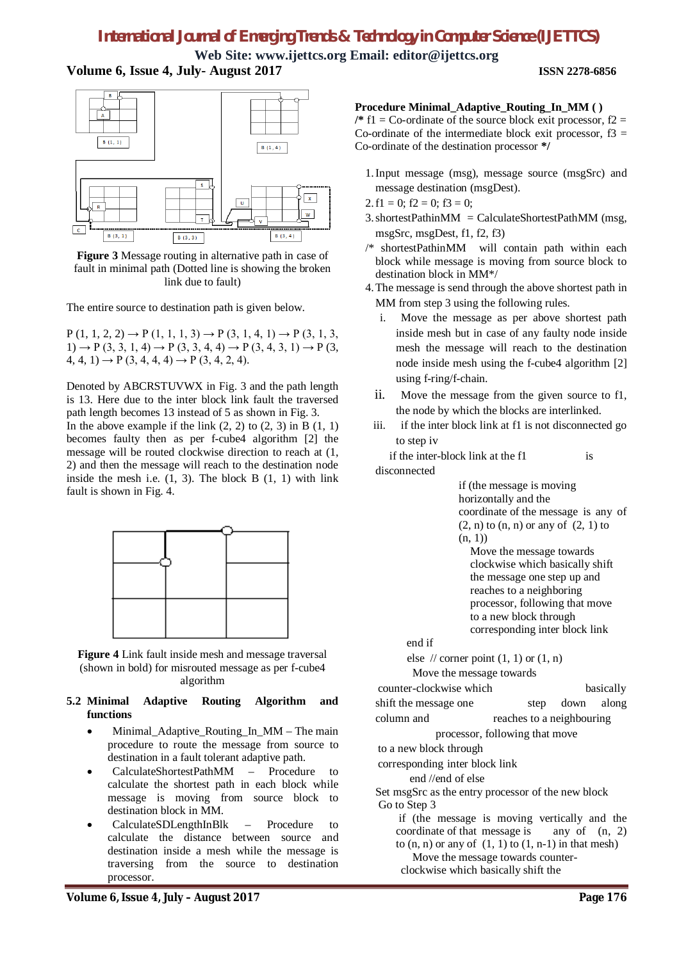# **Web Site: www.ijettcs.org Email: editor@ijettcs.org Volume 6, Issue 4, July- August 2017 ISSN 2278-6856**



**Figure 3** Message routing in alternative path in case of fault in minimal path (Dotted line is showing the broken link due to fault)

The entire source to destination path is given below.

 $P(1, 1, 2, 2) \rightarrow P(1, 1, 1, 3) \rightarrow P(3, 1, 4, 1) \rightarrow P(3, 1, 3,$ 1)  $\rightarrow$  P (3, 3, 1, 4)  $\rightarrow$  P (3, 3, 4, 4)  $\rightarrow$  P (3, 4, 3, 1)  $\rightarrow$  P (3,  $4, 4, 1) \rightarrow P(3, 4, 4, 4) \rightarrow P(3, 4, 2, 4).$ 

Denoted by ABCRSTUVWX in Fig. 3 and the path length is 13. Here due to the inter block link fault the traversed path length becomes 13 instead of 5 as shown in Fig. 3.

In the above example if the link  $(2, 2)$  to  $(2, 3)$  in B  $(1, 1)$ becomes faulty then as per f-cube4 algorithm [2] the message will be routed clockwise direction to reach at (1, 2) and then the message will reach to the destination node inside the mesh i.e.  $(1, 3)$ . The block B  $(1, 1)$  with link fault is shown in Fig. 4.



**Figure 4** Link fault inside mesh and message traversal (shown in bold) for misrouted message as per f-cube4 algorithm

#### **5.2 Minimal Adaptive Routing Algorithm and functions**

- Minimal\_Adaptive\_Routing\_In\_MM The main procedure to route the message from source to destination in a fault tolerant adaptive path.
- CalculateShortestPathMM Procedure to calculate the shortest path in each block while message is moving from source block to destination block in MM.
- CalculateSDLengthInBlk Procedure to calculate the distance between source and destination inside a mesh while the message is traversing from the source to destination processor.

# **Procedure Minimal\_Adaptive\_Routing\_In\_MM ( )**

 $\ell^*$  f1 = Co-ordinate of the source block exit processor, f2 = Co-ordinate of the intermediate block exit processor,  $f3 =$ Co-ordinate of the destination processor **\*/**

- 1.Input message (msg), message source (msgSrc) and message destination (msgDest).
- 2.f1 = 0;  $f2 = 0$ ;  $f3 = 0$ ;
- 3.shortestPathinMM = CalculateShortestPathMM (msg, msgSrc, msgDest, f1, f2, f3)
- /\* shortestPathinMM will contain path within each block while message is moving from source block to destination block in MM\*/
- 4.The message is send through the above shortest path in MM from step 3 using the following rules.
	- i. Move the message as per above shortest path inside mesh but in case of any faulty node inside mesh the message will reach to the destination node inside mesh using the f-cube4 algorithm [2] using f-ring/f-chain.
	- ii. Move the message from the given source to f1, the node by which the blocks are interlinked.
	- iii. if the inter block link at f1 is not disconnected go to step iv

if the inter-block link at the f1 is disconnected

> if (the message is moving horizontally and the coordinate of the message is any of  $(2, n)$  to  $(n, n)$  or any of  $(2, 1)$  to  $(n, 1)$

 Move the message towards clockwise which basically shift the message one step up and reaches to a neighboring processor, following that move to a new block through corresponding inter block link

end if

else  $\sqrt{ }$  corner point  $(1, 1)$  or  $(1, n)$ 

Move the message towards counter-clockwise which basically shift the message one step down along column and reaches to a neighbouring processor, following that move to a new block through corresponding inter block link end //end of else Set msgSrc as the entry processor of the new block Go to Step 3 if (the message is moving vertically and the coordinate of that message is any of (n, 2) to  $(n, n)$  or any of  $(1, 1)$  to  $(1, n-1)$  in that mesh)

Move the message towards counterclockwise which basically shift the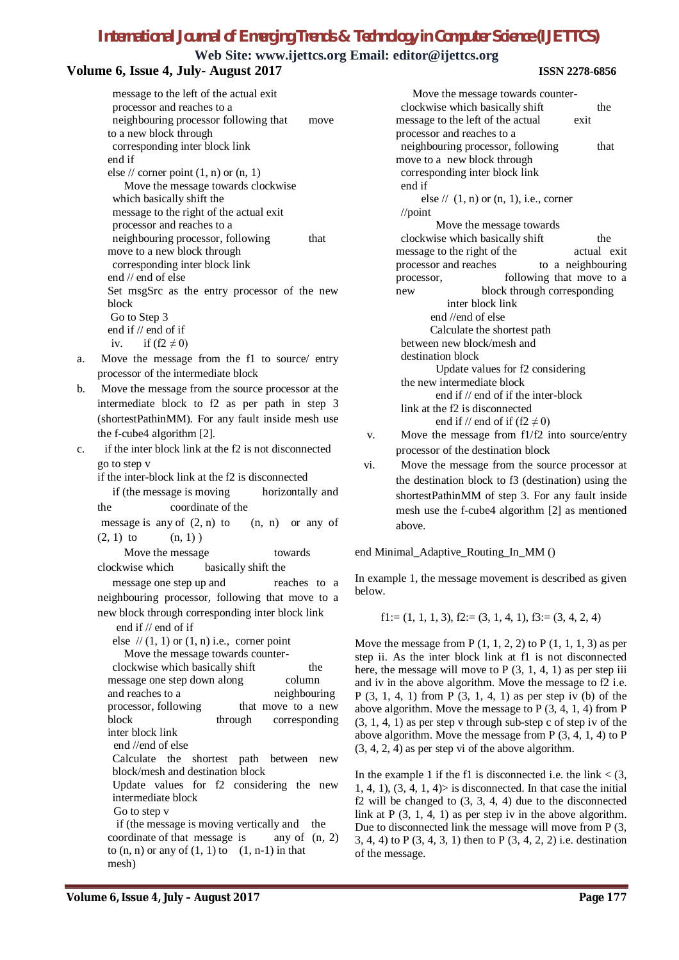**Web Site: www.ijettcs.org Email: editor@ijettcs.org**

message to the right of the actual exit processor and reaches to a neighbouring processor, following that move to a new block through corresponding inter block link end //end of else Calculate the shortest path between new block/mesh and destination block Update values for f2 considering the new intermediate block end if // end of if the inter-block

link at the f2 is disconnected end if // end of if  $(f2 \neq 0)$ 

v. Move the message from f1/f2 into source/entry processor of the destination block

vi. Move the message from the source processor at the destination block to f3 (destination) using the shortestPathinMM of step 3. For any fault inside mesh use the f-cube4 algorithm [2] as mentioned above.

end Minimal\_Adaptive\_Routing\_In\_MM ()

In example 1, the message movement is described as given below.

$$
f1 := (1, 1, 1, 3), f2 := (3, 1, 4, 1), f3 := (3, 4, 2, 4)
$$

Move the message from  $P(1, 1, 2, 2)$  to  $P(1, 1, 1, 3)$  as per step ii. As the inter block link at f1 is not disconnected here, the message will move to P  $(3, 1, 4, 1)$  as per step iii and iv in the above algorithm. Move the message to f2 i.e. P (3, 1, 4, 1) from P (3, 1, 4, 1) as per step iv (b) of the above algorithm. Move the message to  $P(3, 4, 1, 4)$  from  $P$ (3, 1, 4, 1) as per step v through sub-step c of step iv of the above algorithm. Move the message from P (3, 4, 1, 4) to P (3, 4, 2, 4) as per step vi of the above algorithm.

In the example 1 if the f1 is disconnected i.e. the link  $\lt$  (3,  $1, 4, 1$ ,  $(3, 4, 1, 4)$  is disconnected. In that case the initial  $f2$  will be changed to  $(3, 3, 4, 4)$  due to the disconnected link at P (3, 1, 4, 1) as per step iv in the above algorithm. Due to disconnected link the message will move from P (3, 3, 4, 4) to P (3, 4, 3, 1) then to P (3, 4, 2, 2) i.e. destination of the message.

| Volume 6, Issue 4, July-August 2017                 | web site: www.ijetics.org Eman: editor@ijetics.org<br><b>ISSN 2278-6856</b> |
|-----------------------------------------------------|-----------------------------------------------------------------------------|
| message to the left of the actual exit              | Move the message towards counter-                                           |
| processor and reaches to a                          | clockwise which basically shift<br>the                                      |
| neighbouring processor following that<br>move       | message to the left of the actual<br>exit                                   |
| to a new block through                              | processor and reaches to a                                                  |
| corresponding inter block link                      | neighbouring processor, following<br>that                                   |
| end if                                              | move to a new block through                                                 |
| else // corner point $(1, n)$ or $(n, 1)$           | corresponding inter block link                                              |
| Move the message towards clockwise                  | end if                                                                      |
| which basically shift the                           | else // $(1, n)$ or $(n, 1)$ , i.e., corner                                 |
| message to the right of the actual exit             | $\sqrt{\text{point}}$                                                       |
| processor and reaches to a                          | Move the message towards                                                    |
| neighbouring processor, following<br>that           | clockwise which basically shift<br>the                                      |
| move to a new block through                         | message to the right of the<br>actual ex                                    |
| corresponding inter block link                      | processor and reaches<br>to a neighbouring                                  |
| end // end of else                                  | following that move to<br>processor,                                        |
| Set msgSrc as the entry processor of the new        | block through corresponding<br>new                                          |
| block                                               | inter block link                                                            |
| Go to Step 3                                        | end //end of else                                                           |
| end if // end of if                                 | Calculate the shortest path                                                 |
| if $(f2 \neq 0)$<br>iv.                             | between new block/mesh and                                                  |
| Move the message from the f1 to source/ entry<br>a. | destination block                                                           |
| processor of the intermediate block                 | Update values for f2 considering                                            |

b. Move the message from the source processor at the intermediate block to f2 as per path in step 3 (shortestPathinMM). For any fault inside mesh use the f-cube4 algorithm [2].

c. if the inter block link at the f2 is not disconnected go to step v

if the inter-block link at the f2 is disconnected

if (the message is moving horizontally and the coordinate of the

message is any of  $(2, n)$  to  $(n, n)$  or any of  $(2, 1)$  to  $(n, 1)$ 

Move the message towards clockwise which basically shift the

message one step up and reaches to a neighbouring processor, following that move to a new block through corresponding inter block link

end if // end of if

else  $// (1, 1)$  or  $(1, n)$  i.e., corner point Move the message towards counterclockwise which basically shift the message one step down along column and reaches to a neighbouring processor, following that move to a new block through corresponding inter block link end //end of else Calculate the shortest path between new block/mesh and destination block Update values for f2 considering the new intermediate block Go to step v if (the message is moving vertically and the coordinate of that message is any of  $(n, 2)$ to  $(n, n)$  or any of  $(1, 1)$  to  $(1, n-1)$  in that mesh)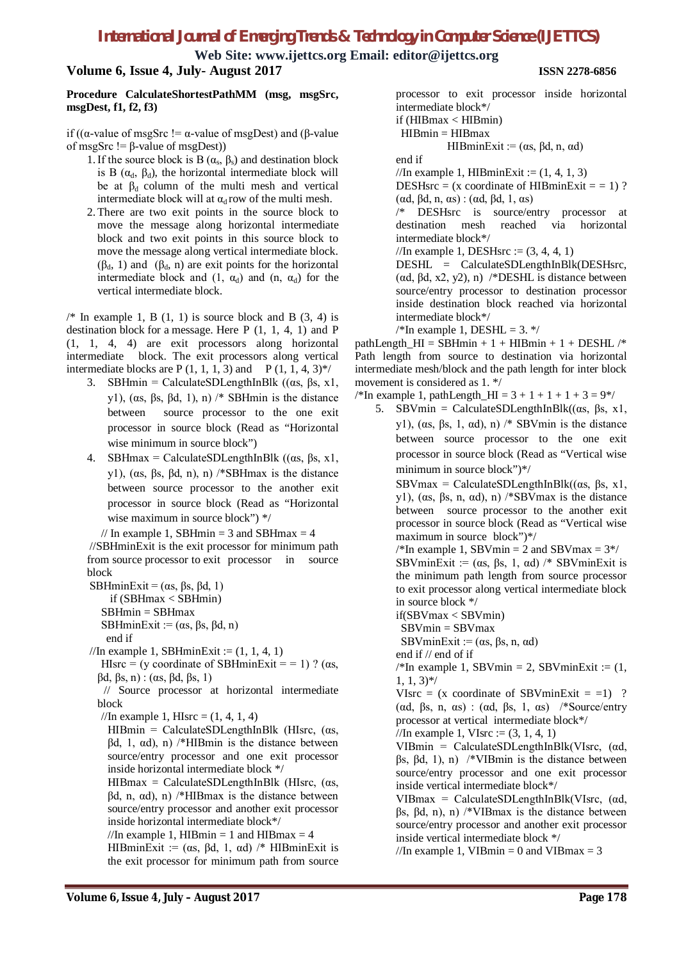**Web Site: www.ijettcs.org Email: editor@ijettcs.org**

**Volume 6, Issue 4, July- August 2017 ISSN 2278-6856**

#### **Procedure CalculateShortestPathMM (msg, msgSrc, msgDest, f1, f2, f3)**

if (( $α$ -value of msgSrc !=  $α$ -value of msgDest) and ( $β$ -value of msgSrc  $!=$   $\beta$ -value of msgDest))

- 1. If the source block is B  $(\alpha_s, \beta_s)$  and destination block is B ( $\alpha_d$ ,  $\beta_d$ ), the horizontal intermediate block will be at  $\beta_d$  column of the multi mesh and vertical intermediate block will at  $\alpha_d$  row of the multi mesh.
- 2. There are two exit points in the source block to move the message along horizontal intermediate block and two exit points in this source block to move the message along vertical intermediate block.  $(\beta_d, 1)$  and  $(\beta_d, n)$  are exit points for the horizontal intermediate block and  $(1, \alpha_d)$  and  $(n, \alpha_d)$  for the vertical intermediate block.

 $\frac{\pi}{4}$  In example 1, B (1, 1) is source block and B (3, 4) is destination block for a message. Here P (1, 1, 4, 1) and P (1, 1, 4, 4) are exit processors along horizontal intermediate block. The exit processors along vertical intermediate blocks are P  $(1, 1, 1, 3)$  and P  $(1, 1, 4, 3)$ <sup>\*</sup>/

- 3. SBHmin = CalculateSDLengthInBlk (( $\alpha$ s,  $\beta$ s, x1, y1), (αs, βs, βd, 1), n) /\* SBHmin is the distance between source processor to the one exit processor in source block (Read as "Horizontal wise minimum in source block")
- 4. SBHmax = CalculateSDLengthInBlk  $((\alpha s, \beta s, x)$ , y1), (αs, βs, βd, n), n) /\*SBHmax is the distance between source processor to the another exit processor in source block (Read as "Horizontal wise maximum in source block") \*/

// In example 1, SBHmin = 3 and SBHmax = 4 //SBHminExit is the exit processor for minimum path from source processor to exit processor in source block

SBHminExit =  $(\alpha s, \beta s, \beta d, 1)$  if (SBHmax < SBHmin) SBHmin = SBHmax SBHminExit :=  $(\alpha s, \beta s, \beta d, n)$ end if

//In example 1, SBHminExit :=  $(1, 1, 4, 1)$ 

HIsrc = (y coordinate of SBHminExit = = 1) ? ( $\alpha$ s, βd, βs, n) : (αs, βd, βs, 1)

// Source processor at horizontal intermediate block

//In example 1, HIsrc =  $(1, 4, 1, 4)$ 

 $HIBmin = Calculate SDIengthInBlk$  (HIsrc, ( $\alpha s$ ,  $βd, 1, αd), n$ ) /\*HIBmin is the distance between source/entry processor and one exit processor inside horizontal intermediate block \*/

 $HIBmax = Calculate SDE$ engthInBlk (HIsrc, (αs,  $βd, n, αd), n$  /\*HIBmax is the distance between source/entry processor and another exit processor inside horizontal intermediate block\*/

//In example 1, HIBmin = 1 and HIBmax = 4 HIBminExit := ( $\alpha s$ ,  $\beta d$ , 1,  $\alpha d$ ) /\* HIBminExit is the exit processor for minimum path from source

processor to exit processor inside horizontal intermediate block\*/ if (HIBmax < HIBmin)

 $HIBmin = HIBmax$ 

HIBminExit :=  $(\alpha s, \beta d, n, \alpha d)$ 

end if

//In example 1, HIBminExit :=  $(1, 4, 1, 3)$ 

DESHsrc = (x coordinate of HIBminExit =  $= 1$ )? (αd, βd, n, αs) : (αd, βd, 1, αs)

/\* DESHsrc is source/entry processor at destination mesh reached via horizontal intermediate block\*/

//In example 1, DESHsrc :=  $(3, 4, 4, 1)$ 

DESHL = CalculateSDLengthInBlk(DESHsrc, (αd, βd, x2, y2), n) /\*DESHL is distance between source/entry processor to destination processor inside destination block reached via horizontal intermediate block\*/

 $\frac{\text{N}}{\text{N}}$  example 1, DESHL = 3. \*/

pathLength\_HI = SBHmin + 1 + HIBmin + 1 + DESHL  $/*$ Path length from source to destination via horizontal intermediate mesh/block and the path length for inter block movement is considered as 1. \*/

/\*In example 1, pathLength  $HI = 3 + 1 + 1 + 1 + 3 = 9$ \*/

5. SBVmin = CalculateSDLengthInBlk( $(\alpha s, \beta s, x)$ , y1), (αs, βs, 1, αd), n) /\* SBVmin is the distance between source processor to the one exit processor in source block (Read as "Vertical wise minimum in source block")\*/

SBVmax = CalculateSDLengthInBlk( $(\alpha s, \beta s, x)$ , y1), (αs, βs, n, αd), n) /\*SBVmax is the distance between source processor to the another exit processor in source block (Read as "Vertical wise maximum in source block")\*/

 $\frac{\text{N}}{\text{N}}$  example 1, SBVmin = 2 and SBVmax = 3\*/ SBVminExit := ( $\alpha s$ ,  $\beta s$ , 1,  $\alpha d$ ) /\* SBVminExit is the minimum path length from source processor to exit processor along vertical intermediate block in source block \*/

if(SBVmax < SBVmin)

SBVmin = SBVmax

SBVminExit :=  $(\alpha s, \beta s, n, \alpha d)$ 

end if // end of if

 $\sqrt{\text{*}$ In example 1, SBVmin = 2, SBVminExit := (1, 1, 1, 3)\*/

VIsrc =  $(x \text{ coordinate of SBV}$ minExit = =1) ? (αd, βs, n, αs) : (αd, βs, 1, αs) /\*Source/entry processor at vertical intermediate block\*/

//In example 1, VIsrc :=  $(3, 1, 4, 1)$ 

VIBmin = CalculateSDLengthInBlk(VIsrc, (αd, βs, βd, 1), n) /\*VIBmin is the distance between source/entry processor and one exit processor inside vertical intermediate block\*/

VIBmax = CalculateSDLengthInBlk(VIsrc, (αd,  $βs, βd, n)$ , n) /\*VIBmax is the distance between source/entry processor and another exit processor inside vertical intermediate block \*/

//In example 1, VIBmin = 0 and VIBmax = 3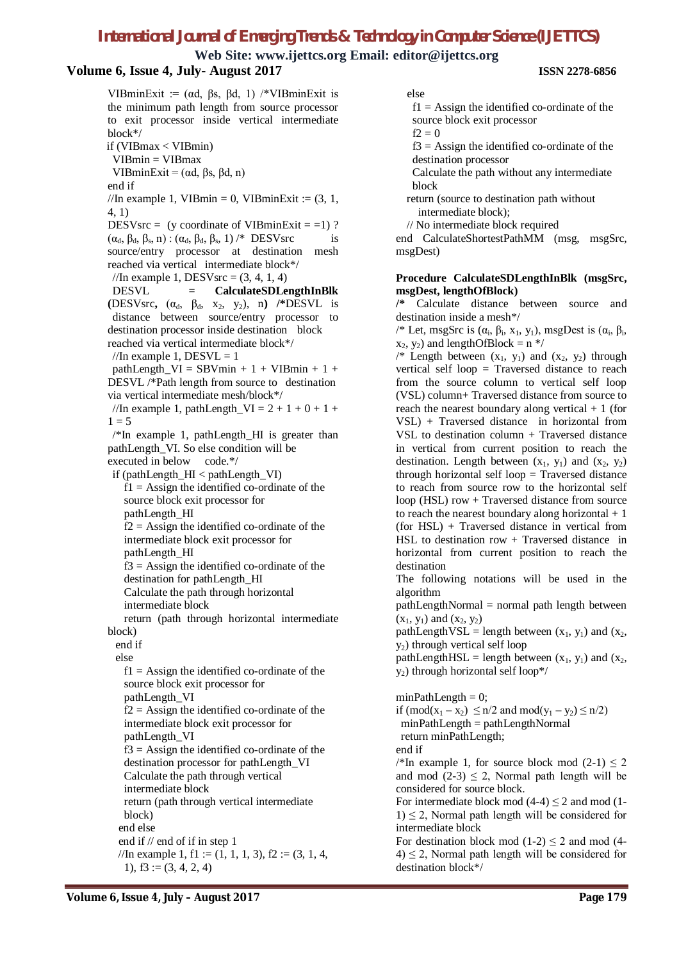**Web Site: www.ijettcs.org Email: editor@ijettcs.org**

### **Volume 6, Issue 4, July- August 2017 ISSN 2278-6856**

VIBminExit := ( $\alpha$ d,  $\beta$ s,  $\beta$ d, 1) /\*VIBminExit is the minimum path length from source processor to exit processor inside vertical intermediate block\*/ if (VIBmax < VIBmin) VIBmin = VIBmax VIBminExit =  $(\alpha d, \beta s, \beta d, n)$ end if //In example 1, VIBmin = 0, VIBminExit :=  $(3, 1, 1)$ 4, 1) DESVsrc = (y coordinate of VIBminExit =  $=$ 1) ?  $(\alpha_d, \beta_d, \beta_s, n)$ :  $(\alpha_d, \beta_d, \beta_s, 1)$  /\* DESVsrc is source/entry processor at destination mesh reached via vertical intermediate block\*/ //In example 1, DESVsrc =  $(3, 4, 1, 4)$ DESVL = **CalculateSDLengthInBlk (DESVsrc,**  $(\alpha_d, \beta_d, x_2, y_2)$ , n) /\***DESVL** is distance between source/entry processor to destination processor inside destination block reached via vertical intermediate block\*/ //In example 1,  $DESVL = 1$  $pathLength_VI = SBVmin + 1 + VIBmin + 1 +$ DESVL /\*Path length from source to destination via vertical intermediate mesh/block\*/ //In example 1, pathLength  $VI = 2 + 1 + 0 + 1 + 1$  $1 = 5$  $/*$ In example 1, pathLength HI is greater than pathLength\_VI. So else condition will be executed in below code.\*/ if (pathLength  $HI <$  pathLength  $VI$ )  $f1 =$  Assign the identified co-ordinate of the source block exit processor for pathLength\_HI  $f2 =$  Assign the identified co-ordinate of the intermediate block exit processor for pathLength\_HI  $f3 =$  Assign the identified co-ordinate of the destination for pathLength\_HI Calculate the path through horizontal intermediate block return (path through horizontal intermediate block) end if else  $f1 =$  Assign the identified co-ordinate of the source block exit processor for pathLength\_VI  $f2 =$  Assign the identified co-ordinate of the intermediate block exit processor for pathLength\_VI  $f3 =$  Assign the identified co-ordinate of the destination processor for pathLength\_VI Calculate the path through vertical intermediate block return (path through vertical intermediate block) end else end if // end of if in step 1 //In example 1, f1 := (1, 1, 1, 3), f2 := (3, 1, 4,

else

 $f1 =$  Assign the identified co-ordinate of the source block exit processor  $f2 = 0$ 

 $f3 =$  Assign the identified co-ordinate of the destination processor

Calculate the path without any intermediate block

 return (source to destination path without intermediate block);

// No intermediate block required

end CalculateShortestPathMM (msg, msgSrc, msgDest)

#### **Procedure CalculateSDLengthInBlk (msgSrc, msgDest, lengthOfBlock)**

**/\*** Calculate distance between source and destination inside a mesh\*/

/\* Let, msgSrc is  $(\alpha_i, \beta_i, x_1, y_1)$ , msgDest is  $(\alpha_i, \beta_i,$  $x_2, y_2$ ) and lengthOfBlock = n \*/

/\* Length between  $(x_1, y_1)$  and  $(x_2, y_2)$  through vertical self loop = Traversed distance to reach from the source column to vertical self loop (VSL) column+ Traversed distance from source to reach the nearest boundary along vertical  $+1$  (for VSL) + Traversed distance in horizontal from VSL to destination column + Traversed distance in vertical from current position to reach the destination. Length between  $(x_1, y_1)$  and  $(x_2, y_2)$ through horizontal self loop = Traversed distance to reach from source row to the horizontal self loop (HSL) row + Traversed distance from source to reach the nearest boundary along horizontal  $+1$ (for HSL) + Traversed distance in vertical from HSL to destination row  $+$  Traversed distance in horizontal from current position to reach the destination

The following notations will be used in the algorithm

 $pathLengthNormal = normal path length between$  $(x_1, y_1)$  and  $(x_2, y_2)$ 

pathLengthVSL = length between  $(x_1, y_1)$  and  $(x_2,$  $y_2$ ) through vertical self loop

pathLengthHSL = length between  $(x_1, y_1)$  and  $(x_2,$ y2) through horizontal self loop\*/

 $minPathLength = 0$ ; if  $(mod(x_1 - x_2) \le n/2$  and  $mod(y_1 - y_2) \le n/2)$ minPathLength = pathLengthNormal return minPathLength; end if /\*In example 1, for source block mod  $(2-1) \le 2$ and mod  $(2-3) \le 2$ , Normal path length will be considered for source block. For intermediate block mod  $(4-4) \le 2$  and mod  $(1 1) \leq 2$ , Normal path length will be considered for intermediate block For destination block mod  $(1-2) \le 2$  and mod  $(4-1)$  $4 \leq 2$ , Normal path length will be considered for

destination block\*/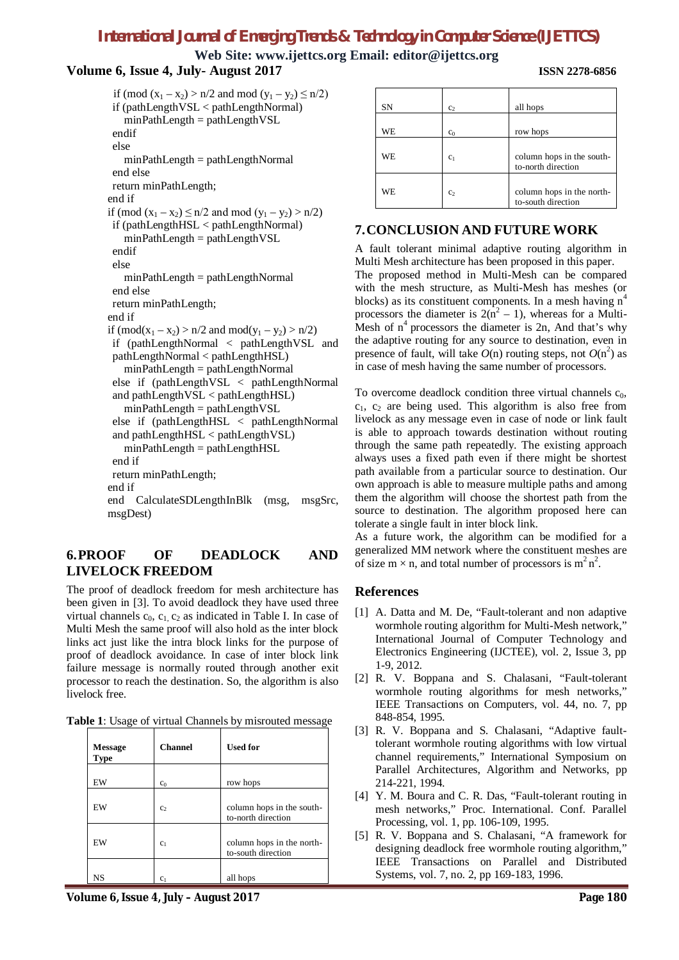**Web Site: www.ijettcs.org Email: editor@ijettcs.org**

#### **Volume 6, Issue 4, July- August 2017 ISSN 2278-6856**

```
if (mod (x_1 - x_2) > n/2 and mod (y_1 - y_2) \le n/2)
 if (pathLengthVSL < pathLengthNormal)
   minPathLength = pathLengthVSLendif
 else 
   minPathLength = pathLengthNormal
 end else 
 return minPathLength;
end if
if (mod (x_1 - x_2) \le n/2 and mod (y_1 - y_2) > n/2)
 if (pathLengthHSL < pathLengthNormal)
   minPathLength = pathLengthVSL
 endif
 else 
   minPathLength = pathLengthNormal
 end else
 return minPathLength;
end if
if (mod(x_1 - x_2) > n/2 and mod(y_1 - y_2) > n/2)if (pathLengthNormal < pathLengthVSL and 
 pathLengthNormal < pathLengthHSL)
   minPathLength = pathLengthNormal
 else if (pathLengthVSL < pathLengthNormal 
 and pathLengthVSL < pathLengthHSL)
   minPathLength = pathLengthVSLelse if (pathLengthHSL < pathLengthNormal 
 and pathLengthHSL < pathLengthVSL)
   minPathLength = pathLengthHSL
 end if
 return minPathLength;
end if
end CalculateSDLengthInBlk (msg, msgSrc, 
msgDest)
```
# **6.PROOF OF DEADLOCK AND LIVELOCK FREEDOM**

The proof of deadlock freedom for mesh architecture has been given in [3]. To avoid deadlock they have used three virtual channels  $c_0$ ,  $c_1$ ,  $c_2$  as indicated in Table I. In case of Multi Mesh the same proof will also hold as the inter block links act just like the intra block links for the purpose of proof of deadlock avoidance. In case of inter block link failure message is normally routed through another exit processor to reach the destination. So, the algorithm is also livelock free.

| <b>Message</b><br>Type | <b>Channel</b> | <b>Used for</b>                                 |
|------------------------|----------------|-------------------------------------------------|
| EW                     | c <sub>0</sub> | row hops                                        |
| EW                     | C <sub>2</sub> | column hops in the south-<br>to-north direction |
| EW                     | c <sub>1</sub> | column hops in the north-<br>to-south direction |
| NS                     | c <sub>1</sub> | all hops                                        |

SN c<sub>2</sub> all hops  $WE$  c<sub>0</sub> c<sub>0</sub> row hops WE  $c_1$  column hops in the southto-north direction WE  $c_2$  column hops in the northto-south direction

# **7.CONCLUSION AND FUTURE WORK**

A fault tolerant minimal adaptive routing algorithm in Multi Mesh architecture has been proposed in this paper. The proposed method in Multi-Mesh can be compared with the mesh structure, as Multi-Mesh has meshes (or blocks) as its constituent components. In a mesh having  $n<sup>4</sup>$ processors the diameter is  $2(n^2 - 1)$ , whereas for a Multi-Mesh of  $n^4$  processors the diameter is 2n, And that's why the adaptive routing for any source to destination, even in presence of fault, will take  $O(n)$  routing steps, not  $O(n^2)$  as in case of mesh having the same number of processors.

To overcome deadlock condition three virtual channels  $c_0$ ,  $c_1$ ,  $c_2$  are being used. This algorithm is also free from livelock as any message even in case of node or link fault is able to approach towards destination without routing through the same path repeatedly. The existing approach always uses a fixed path even if there might be shortest path available from a particular source to destination. Our own approach is able to measure multiple paths and among them the algorithm will choose the shortest path from the source to destination. The algorithm proposed here can tolerate a single fault in inter block link.

As a future work, the algorithm can be modified for a generalized MM network where the constituent meshes are of size  $m \times n$ , and total number of processors is  $m^2 n^2$ .

#### **References**

- [1] A. Datta and M. De, "Fault-tolerant and non adaptive wormhole routing algorithm for Multi-Mesh network," International Journal of Computer Technology and Electronics Engineering (IJCTEE), vol. 2, Issue 3, pp 1-9, 2012.
- [2] R. V. Boppana and S. Chalasani, "Fault-tolerant wormhole routing algorithms for mesh networks," IEEE Transactions on Computers, vol. 44, no. 7, pp 848-854, 1995.
- [3] R. V. Boppana and S. Chalasani, "Adaptive faulttolerant wormhole routing algorithms with low virtual channel requirements," International Symposium on Parallel Architectures, Algorithm and Networks, pp 214-221, 1994.
- [4] Y. M. Boura and C. R. Das, "Fault-tolerant routing in mesh networks," Proc. International. Conf. Parallel Processing, vol. 1, pp. 106-109, 1995.
- [5] R. V. Boppana and S. Chalasani, "A framework for designing deadlock free wormhole routing algorithm," IEEE Transactions on Parallel and Distributed Systems, vol. 7, no. 2, pp 169-183, 1996.

**Volume 6, Issue 4, July – August 2017 Page 180**